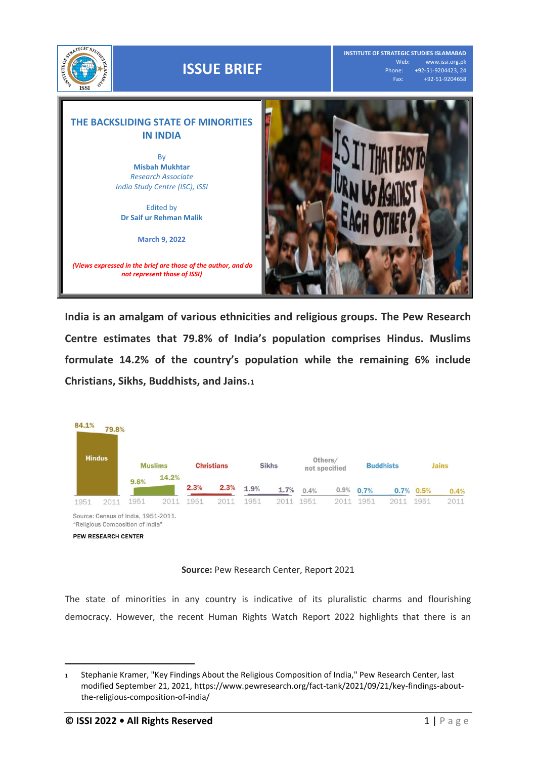

**India is an amalgam of various ethnicities and religious groups. The Pew Research Centre estimates that 79.8% of India's population comprises Hindus. Muslims formulate 14.2% of the country's population while the remaining 6% include Christians, Sikhs, Buddhists, and Jains.<sup>1</sup>**



## **Source:** Pew Research Center, Report 2021

The state of minorities in any country is indicative of its pluralistic charms and flourishing democracy. However, the recent Human Rights Watch Report 2022 highlights that there is an

 $\overline{a}$ 

<sup>1</sup> Stephanie Kramer, "Key Findings About the Religious Composition of India," Pew Research Center, last modified September 21, 2021[, https://www.pewresearch.org/fact-tank/2021/09/21/key-findings-about](https://www.pewresearch.org/fact-tank/2021/09/21/key-findings-about-the-religious-composition-of-india/)[the-religious-composition-of-india/](https://www.pewresearch.org/fact-tank/2021/09/21/key-findings-about-the-religious-composition-of-india/)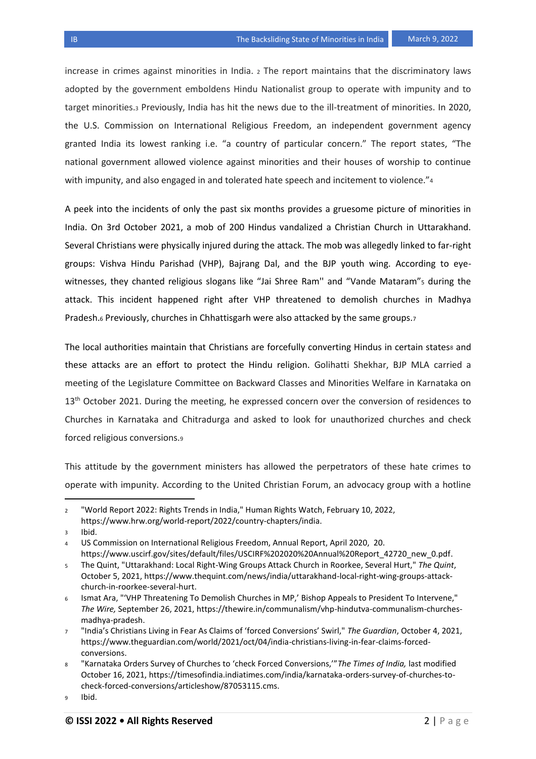increase in crimes against minorities in India. <sup>2</sup> The report maintains that the discriminatory laws adopted by the government emboldens Hindu Nationalist group to operate with impunity and to target minorities.<sup>3</sup> Previously, India has hit the news due to the ill-treatment of minorities. In 2020, the U.S. Commission on International Religious Freedom, an independent government agency granted India its lowest ranking i.e. "a country of particular concern." The report states, "The national government allowed violence against minorities and their houses of worship to continue with impunity, and also engaged in and tolerated hate speech and incitement to violence."4

A peek into the incidents of only the past six months provides a gruesome picture of minorities in India. On 3rd October 2021, a mob of 200 Hindus vandalized a Christian Church in Uttarakhand. Several Christians were physically injured during the attack. The mob was allegedly linked to far-right groups: Vishva Hindu Parishad (VHP), Bajrang Dal, and the BJP youth wing. According to eyewitnesses, they chanted religious slogans like "Jai Shree Ram" and "Vande Mataram"s during the attack. This incident happened right after VHP threatened to demolish churches in Madhya Pradesh.<sup>6</sup> Previously, churches in Chhattisgarh were also attacked by the same groups.<sup>7</sup>

The local authorities maintain that Christians are forcefully converting Hindus in certain statess and these attacks are an effort to protect the Hindu religion. Golihatti Shekhar, BJP MLA carried a meeting of the Legislature Committee on Backward Classes and Minorities Welfare in Karnataka on 13<sup>th</sup> October 2021. During the meeting, he expressed concern over the conversion of residences to Churches in Karnataka and Chitradurga and asked to look for unauthorized churches and check forced religious conversions.<sup>9</sup>

This attitude by the government ministers has allowed the perpetrators of these hate crimes to operate with impunity. According to the United Christian Forum, an advocacy group with a hotline

<https://www.hrw.org/world-report/2022/country-chapters/india.>

l

<sup>2</sup> "World Report 2022: Rights Trends in India," Human Rights Watch, February 10, 2022,

<sup>3</sup> Ibid.

<sup>4</sup> US Commission on International Religious Freedom, Annual Report, April 2020, 20. [https://www.uscirf.gov/sites/default/files/USCIRF%202020%20Annual%20Report\\_42720\\_new\\_0.pdf.](https://www.uscirf.gov/sites/default/files/USCIRF%202020%20Annual%20Report_42720_new_0.pdf)

<sup>5</sup> The Quint, "Uttarakhand: Local Right-Wing Groups Attack Church in Roorkee, Several Hurt," *The Quint*, October 5, 2021, [https://www.thequint.com/news/india/uttarakhand-local-right-wing-groups-attack](https://www.thequint.com/news/india/uttarakhand-local-right-wing-groups-attack-church-in-roorkee-several-hurt)[church-in-roorkee-several-hurt.](https://www.thequint.com/news/india/uttarakhand-local-right-wing-groups-attack-church-in-roorkee-several-hurt)

<sup>6</sup> Ismat Ara, "'VHP Threatening To Demolish Churches in MP,' Bishop Appeals to President To Intervene," *The Wire,* September 26, 2021, [https://thewire.in/communalism/vhp-hindutva-communalism-churches](https://thewire.in/communalism/vhp-hindutva-communalism-churches-madhya-pradesh)[madhya-pradesh.](https://thewire.in/communalism/vhp-hindutva-communalism-churches-madhya-pradesh)

<sup>7</sup> "India's Christians Living in Fear As Claims of 'forced Conversions' Swirl," *The Guardian*, October 4, 2021, [https://www.theguardian.com/world/2021/oct/04/india-christians-living-in-fear-claims-forced](https://www.theguardian.com/world/2021/oct/04/india-christians-living-in-fear-claims-forced-conversions.)[conversions.](https://www.theguardian.com/world/2021/oct/04/india-christians-living-in-fear-claims-forced-conversions.)

<sup>8</sup> "Karnataka Orders Survey of Churches to 'check Forced Conversions,'"*The Times of India,* last modified October 16, 2021[, https://timesofindia.indiatimes.com/india/karnataka-orders-survey-of-churches-to](https://timesofindia.indiatimes.com/india/karnataka-orders-survey-of-churches-to-check-forced-conversions/articleshow/87053115.cms)[check-forced-conversions/articleshow/87053115.cms.](https://timesofindia.indiatimes.com/india/karnataka-orders-survey-of-churches-to-check-forced-conversions/articleshow/87053115.cms)

<sup>9</sup> Ibid.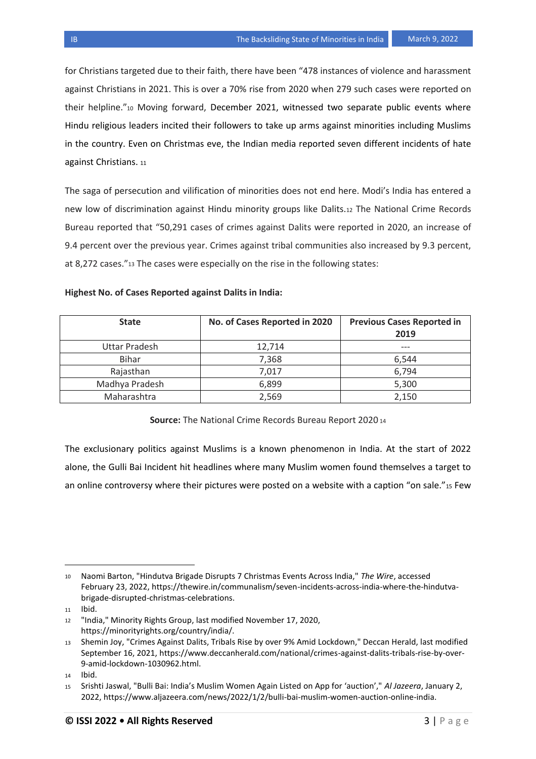for Christians targeted due to their faith, there have been "478 instances of violence and harassment against Christians in 2021. This is over a 70% rise from 2020 when 279 such cases were reported on their helpline."<sup>10</sup> Moving forward, December 2021, witnessed two separate public events where Hindu religious leaders incited their followers to take up arms against minorities including Muslims in the country. Even on Christmas eve, the Indian media reported seven different incidents of hate against Christians. <sup>11</sup>

The saga of persecution and vilification of minorities does not end here. Modi's India has entered a new low of discrimination against Hindu minority groups like Dalits.<sup>12</sup> The National Crime Records Bureau reported that "50,291 cases of crimes against Dalits were reported in 2020, an increase of 9.4 percent over the previous year. Crimes against tribal communities also increased by 9.3 percent, at 8,272 cases."<sup>13</sup> The cases were especially on the rise in the following states:

## **Highest No. of Cases Reported against Dalits in India:**

| <b>State</b>   | No. of Cases Reported in 2020 | <b>Previous Cases Reported in</b><br>2019 |
|----------------|-------------------------------|-------------------------------------------|
| Uttar Pradesh  | 12,714                        |                                           |
| <b>Bihar</b>   | 7,368                         | 6.544                                     |
| Rajasthan      | 7,017                         | 6,794                                     |
| Madhya Pradesh | 6,899                         | 5,300                                     |
| Maharashtra    | 2,569                         | 2,150                                     |

## **Source:** The National Crime Records Bureau Report 2020 <sup>14</sup>

The exclusionary politics against Muslims is a known phenomenon in India. At the start of 2022 alone, the Gulli Bai Incident hit headlines where many Muslim women found themselves a target to an online controversy where their pictures were posted on a website with a caption "on sale."15 Few

l

<sup>10</sup> Naomi Barton, "Hindutva Brigade Disrupts 7 Christmas Events Across India," *The Wire*, accessed February 23, 202[2, https://thewire.in/communalism/seven-incidents-across-india-where-the-hindutva](about:blank)[brigade-disrupted-christmas-celebrations.](about:blank)

<sup>11</sup> Ibid.

<sup>12</sup> "India," Minority Rights Group, last modified November 17, 2020, [https://minorityrights.org/country/india/.](https://minorityrights.org/country/india/)

<sup>13</sup> Shemin Joy, "Crimes Against Dalits, Tribals Rise by over 9% Amid Lockdown," Deccan Herald, last modified September 16, 2021, [https://www.deccanherald.com/national/crimes-against-dalits-tribals-rise-by-over-](https://www.deccanherald.com/national/crimes-against-dalits-tribals-rise-by-over-9-amid-lockdown-1030962.html.)[9-amid-lockdown-1030962.html.](https://www.deccanherald.com/national/crimes-against-dalits-tribals-rise-by-over-9-amid-lockdown-1030962.html.)

<sup>14</sup> Ibid.

<sup>15</sup> Srishti Jaswal, "Bulli Bai: India's Muslim Women Again Listed on App for 'auction'," *Al Jazeera*, January 2, 2022, [https://www.aljazeera.com/news/2022/1/2/bulli-bai-muslim-women-auction-online-india.](https://www.aljazeera.com/news/2022/1/2/bulli-bai-muslim-women-auction-online-india)